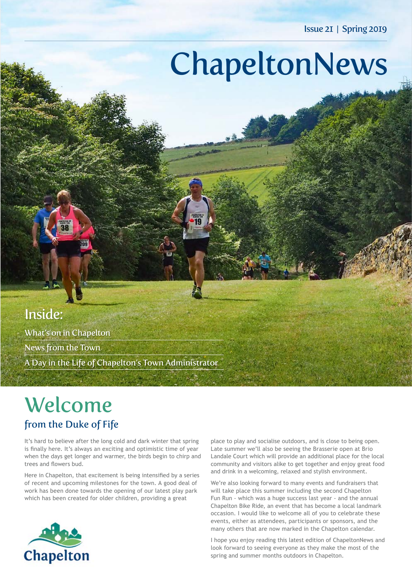Issue 21 | Spring 2019

# ChapeltonNews

## Inside:

What's on in Chapelton News from the Town A Day in the Life of Chapelton's Town Administrator

# Welcome

## from the Duke of Fife

It's hard to believe after the long cold and dark winter that spring is finally here. It's always an exciting and optimistic time of year when the days get longer and warmer, the birds begin to chirp and trees and flowers bud.

Here in Chapelton, that excitement is being intensified by a series of recent and upcoming milestones for the town. A good deal of work has been done towards the opening of our latest play park which has been created for older children, providing a great



place to play and socialise outdoors, and is close to being open. Late summer we'll also be seeing the Brasserie open at Brio Landale Court which will provide an additional place for the local community and visitors alike to get together and enjoy great food and drink in a welcoming, relaxed and stylish environment.

We're also looking forward to many events and fundraisers that will take place this summer including the second Chapelton Fun Run - which was a huge success last year - and the annual Chapelton Bike Ride, an event that has become a local landmark occasion. I would like to welcome all of you to celebrate these events, either as attendees, participants or sponsors, and the many others that are now marked in the Chapelton calendar.

I hope you enjoy reading this latest edition of ChapeltonNews and look forward to seeing everyone as they make the most of the spring and summer months outdoors in Chapelton.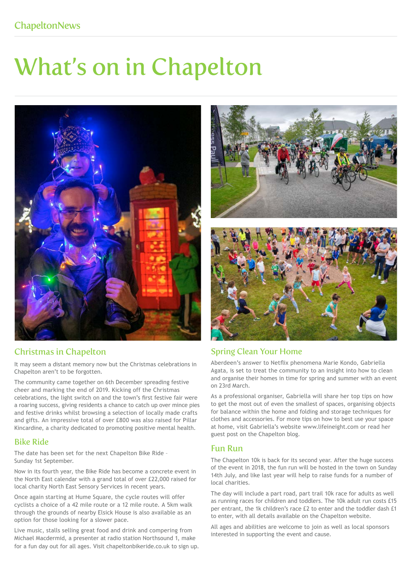# What's on in Chapelton



### Christmas in Chapelton

It may seem a distant memory now but the Christmas celebrations in Chapelton aren't to be forgotten.

The community came together on 6th December spreading festive cheer and marking the end of 2019. Kicking off the Christmas celebrations, the light switch on and the town's first festive fair were a roaring success, giving residents a chance to catch up over mince pies and festive drinks whilst browsing a selection of locally made crafts and gifts. An impressive total of over £800 was also raised for Pillar Kincardine, a charity dedicated to promoting positive mental health.

### Bike Ride

The date has been set for the next Chapelton Bike Ride – Sunday 1st September.

Now in its fourth year, the Bike Ride has become a concrete event in the North East calendar with a grand total of over £22,000 raised for local charity North East Sensory Services in recent years.

Once again starting at Hume Square, the cycle routes will offer cyclists a choice of a 42 mile route or a 12 mile route. A 5km walk through the grounds of nearby Elsick House is also available as an option for those looking for a slower pace.

Live music, stalls selling great food and drink and compering from Michael Macdermid, a presenter at radio station Northsound 1, make for a fun day out for all ages. Visit chapeltonbikeride.co.uk to sign up.





### Spring Clean Your Home

Aberdeen's answer to Netflix phenomena Marie Kondo, Gabriella Agata, is set to treat the community to an insight into how to clean and organise their homes in time for spring and summer with an event on 23rd March.

As a professional organiser, Gabriella will share her top tips on how to get the most out of even the smallest of spaces, organising objects for balance within the home and folding and storage techniques for clothes and accessories. For more tips on how to best use your space at home, visit Gabriella's website www.lifeineight.com or read her guest post on the Chapelton blog.

### Fun Run

The Chapelton 10k is back for its second year. After the huge success of the event in 2018, the fun run will be hosted in the town on Sunday 14th July, and like last year will help to raise funds for a number of local charities.

The day will include a part road, part trail 10k race for adults as well as running races for children and toddlers. The 10k adult run costs £15 per entrant, the 1k children's race £2 to enter and the toddler dash £1 to enter, with all details available on the Chapelton website.

All ages and abilities are welcome to join as well as local sponsors interested in supporting the event and cause.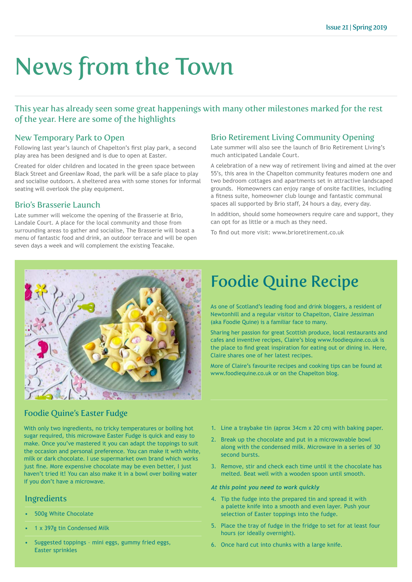# News from the Town

This year has already seen some great happenings with many other milestones marked for the rest of the year. Here are some of the highlights

### New Temporary Park to Open

Following last year's launch of Chapelton's first play park, a second play area has been designed and is due to open at Easter.

Created for older children and located in the green space between Black Street and Greenlaw Road, the park will be a safe place to play and socialise outdoors. A sheltered area with some stones for informal seating will overlook the play equipment.

### Brio's Brasserie Launch

Late summer will welcome the opening of the Brasserie at Brio, Landale Court. A place for the local community and those from surrounding areas to gather and socialise, The Brasserie will boast a menu of fantastic food and drink, an outdoor terrace and will be open seven days a week and will complement the existing Teacake.

### Brio Retirement Living Community Opening

Late summer will also see the launch of Brio Retirement Living's much anticipated Landale Court.

A celebration of a new way of retirement living and aimed at the over 55's, this area in the Chapelton community features modern one and two bedroom cottages and apartments set in attractive landscaped grounds. Homeowners can enjoy range of onsite facilities, including a fitness suite, homeowner club lounge and fantastic communal spaces all supported by Brio staff, 24 hours a day, every day.

In addition, should some homeowners require care and support, they can opt for as little or a much as they need.

To find out more visit: www.brioretirement.co.uk



## Foodie Quine Recipe

As one of Scotland's leading food and drink bloggers, a resident of Newtonhill and a regular visitor to Chapelton, Claire Jessiman (aka Foodie Quine) is a familiar face to many.

Sharing her passion for great Scottish produce, local restaurants and cafes and inventive recipes, Claire's blog www.foodiequine.co.uk is the place to find great inspiration for eating out or dining in. Here, Claire shares one of her latest recipes.

More of Claire's favourite recipes and cooking tips can be found at www.foodiequine.co.uk or on the Chapelton blog.

### Foodie Quine's Easter Fudge

With only two ingredients, no tricky temperatures or boiling hot sugar required, this microwave Easter Fudge is quick and easy to make. Once you've mastered it you can adapt the toppings to suit the occasion and personal preference. You can make it with white, milk or dark chocolate. I use supermarket own brand which works just fine. More expensive chocolate may be even better, I just haven't tried it! You can also make it in a bowl over boiling water if you don't have a microwave.

### Ingredients

- 500g White Chocolate
- 1 x 397g tin Condensed Milk
- Suggested toppings mini eggs, gummy fried eggs, Easter sprinkles
- 1. Line a traybake tin (aprox 34cm x 20 cm) with baking paper.
- 2. Break up the chocolate and put in a microwavable bowl along with the condensed milk. Microwave in a series of 30 second bursts.
- 3. Remove, stir and check each time until it the chocolate has melted. Beat well with a wooden spoon until smooth.

### *At this point you need to work quickly*

- 4. Tip the fudge into the prepared tin and spread it with a palette knife into a smooth and even layer. Push your selection of Easter toppings into the fudge.
- 5. Place the tray of fudge in the fridge to set for at least four hours (or ideally overnight).
- 6. Once hard cut into chunks with a large knife.